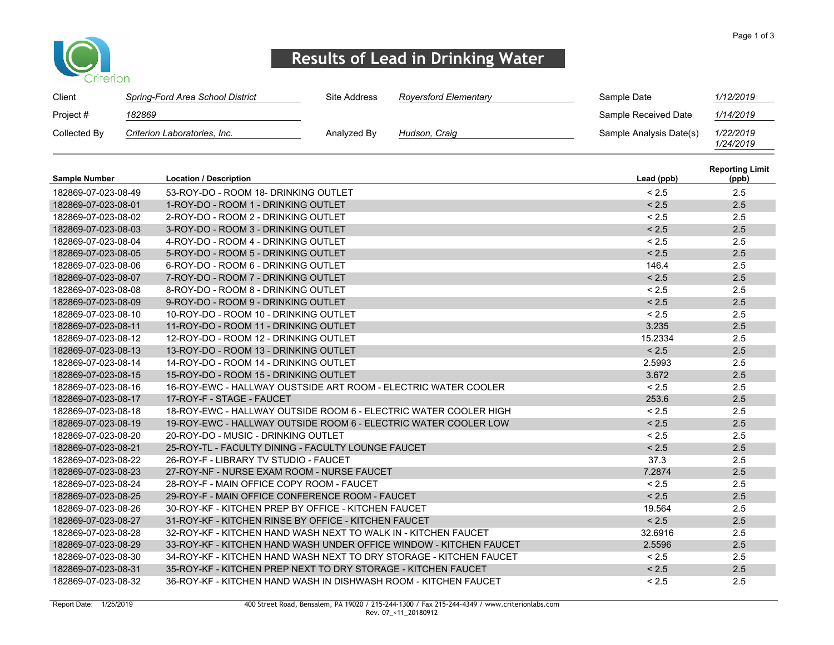

## Results of Lead in Drinking Water

| Client               |        | Spring-Ford Area School District                                   | <b>Site Address</b> | <b>Royersford Elementary</b>                                       | Sample Date             | 1/12/2019                       |
|----------------------|--------|--------------------------------------------------------------------|---------------------|--------------------------------------------------------------------|-------------------------|---------------------------------|
| Project #            | 182869 |                                                                    |                     |                                                                    | Sample Received Date    | 1/14/2019                       |
| Collected By         |        | Criterion Laboratories, Inc.                                       | Analyzed By         | Hudson, Craig                                                      | Sample Analysis Date(s) | 1/22/2019<br>1/24/2019          |
| <b>Sample Number</b> |        | <b>Location / Description</b>                                      |                     |                                                                    | Lead (ppb)              | <b>Reporting Limit</b><br>(ppb) |
| 182869-07-023-08-49  |        | 53-ROY-DO - ROOM 18- DRINKING OUTLET                               |                     |                                                                    | < 2.5                   | 2.5                             |
| 182869-07-023-08-01  |        | 1-ROY-DO - ROOM 1 - DRINKING OUTLET                                |                     |                                                                    | < 2.5                   | 2.5                             |
| 182869-07-023-08-02  |        | 2-ROY-DO - ROOM 2 - DRINKING OUTLET                                |                     |                                                                    | < 2.5                   | 2.5                             |
| 182869-07-023-08-03  |        | 3-ROY-DO - ROOM 3 - DRINKING OUTLET                                |                     |                                                                    | < 2.5                   | 2.5                             |
| 182869-07-023-08-04  |        | 4-ROY-DO - ROOM 4 - DRINKING OUTLET                                |                     |                                                                    | < 2.5                   | 2.5                             |
| 182869-07-023-08-05  |        | 5-ROY-DO - ROOM 5 - DRINKING OUTLET                                |                     |                                                                    | < 2.5                   | 2.5                             |
| 182869-07-023-08-06  |        | 6-ROY-DO - ROOM 6 - DRINKING OUTLET                                |                     |                                                                    | 146.4                   | 2.5                             |
| 182869-07-023-08-07  |        | 7-ROY-DO - ROOM 7 - DRINKING OUTLET                                |                     |                                                                    | < 2.5                   | 2.5                             |
| 182869-07-023-08-08  |        | 8-ROY-DO - ROOM 8 - DRINKING OUTLET                                |                     |                                                                    | < 2.5                   | 2.5                             |
| 182869-07-023-08-09  |        | 9-ROY-DO - ROOM 9 - DRINKING OUTLET                                |                     |                                                                    | < 2.5                   | 2.5                             |
| 182869-07-023-08-10  |        | 10-ROY-DO - ROOM 10 - DRINKING OUTLET                              |                     |                                                                    | < 2.5                   | 2.5                             |
| 182869-07-023-08-11  |        | 11-ROY-DO - ROOM 11 - DRINKING OUTLET                              |                     |                                                                    | 3.235                   | 2.5                             |
| 182869-07-023-08-12  |        | 12-ROY-DO - ROOM 12 - DRINKING OUTLET                              |                     |                                                                    | 15.2334                 | 2.5                             |
| 182869-07-023-08-13  |        | 13-ROY-DO - ROOM 13 - DRINKING OUTLET                              |                     |                                                                    | < 2.5                   | 2.5                             |
| 182869-07-023-08-14  |        | 14-ROY-DO - ROOM 14 - DRINKING OUTLET                              |                     |                                                                    | 2.5993                  | 2.5                             |
| 182869-07-023-08-15  |        | 15-ROY-DO - ROOM 15 - DRINKING OUTLET                              |                     |                                                                    | 3.672                   | 2.5                             |
| 182869-07-023-08-16  |        | 16-ROY-EWC - HALLWAY OUSTSIDE ART ROOM - ELECTRIC WATER COOLER     |                     |                                                                    | < 2.5                   | 2.5                             |
| 182869-07-023-08-17  |        | 17-ROY-F - STAGE - FAUCET                                          |                     |                                                                    | 253.6                   | 2.5                             |
| 182869-07-023-08-18  |        | 18-ROY-EWC - HALLWAY OUTSIDE ROOM 6 - ELECTRIC WATER COOLER HIGH   |                     |                                                                    | < 2.5                   | 2.5                             |
| 182869-07-023-08-19  |        | 19-ROY-EWC - HALLWAY OUTSIDE ROOM 6 - ELECTRIC WATER COOLER LOW    |                     |                                                                    | < 2.5                   | 2.5                             |
| 182869-07-023-08-20  |        | 20-ROY-DO - MUSIC - DRINKING OUTLET                                |                     |                                                                    | < 2.5                   | 2.5                             |
| 182869-07-023-08-21  |        | 25-ROY-TL - FACULTY DINING - FACULTY LOUNGE FAUCET                 |                     |                                                                    | < 2.5                   | 2.5                             |
| 182869-07-023-08-22  |        | 26-ROY-F - LIBRARY TV STUDIO - FAUCET                              |                     |                                                                    | 37.3                    | 2.5                             |
| 182869-07-023-08-23  |        | 27-ROY-NF - NURSE EXAM ROOM - NURSE FAUCET                         |                     |                                                                    | 7.2874                  | 2.5                             |
| 182869-07-023-08-24  |        | 28-ROY-F - MAIN OFFICE COPY ROOM - FAUCET                          |                     |                                                                    | < 2.5                   | 2.5                             |
| 182869-07-023-08-25  |        | 29-ROY-F - MAIN OFFICE CONFERENCE ROOM - FAUCET                    |                     |                                                                    | < 2.5                   | 2.5                             |
| 182869-07-023-08-26  |        | 30-ROY-KF - KITCHEN PREP BY OFFICE - KITCHEN FAUCET                |                     |                                                                    | 19.564                  | 2.5                             |
| 182869-07-023-08-27  |        | 31-ROY-KF - KITCHEN RINSE BY OFFICE - KITCHEN FAUCET               |                     |                                                                    | < 2.5                   | 2.5                             |
| 182869-07-023-08-28  |        | 32-ROY-KF - KITCHEN HAND WASH NEXT TO WALK IN - KITCHEN FAUCET     |                     |                                                                    | 32.6916                 | 2.5                             |
| 182869-07-023-08-29  |        |                                                                    |                     | 33-ROY-KF - KITCHEN HAND WASH UNDER OFFICE WINDOW - KITCHEN FAUCET | 2.5596                  | 2.5                             |
| 182869-07-023-08-30  |        | 34-ROY-KF - KITCHEN HAND WASH NEXT TO DRY STORAGE - KITCHEN FAUCET |                     |                                                                    | < 2.5                   | 2.5                             |
| 182869-07-023-08-31  |        | 35-ROY-KF - KITCHEN PREP NEXT TO DRY STORAGE - KITCHEN FAUCET      |                     |                                                                    | < 2.5                   | 2.5                             |
| 182869-07-023-08-32  |        | 36-ROY-KF - KITCHEN HAND WASH IN DISHWASH ROOM - KITCHEN FAUCET    |                     |                                                                    | < 2.5                   | 2.5                             |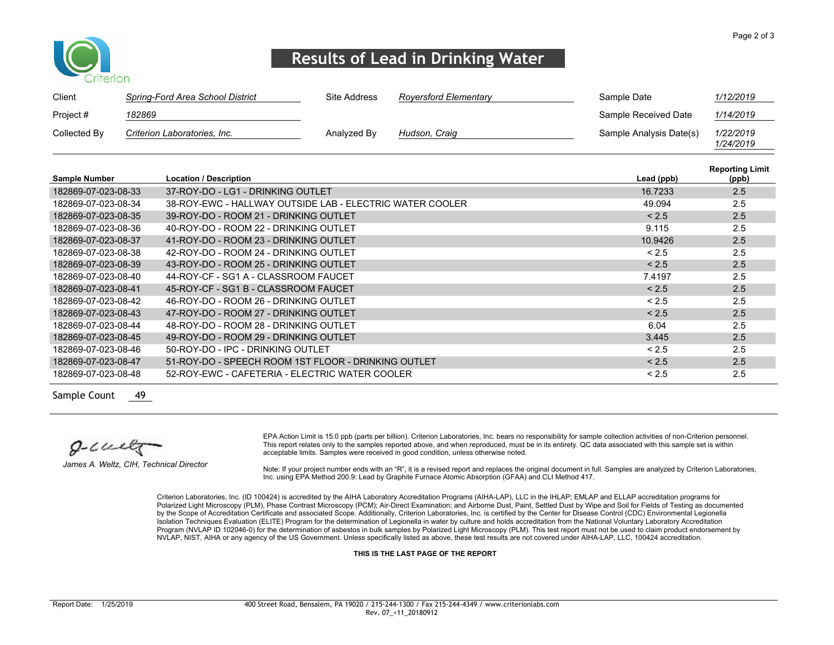

## Results of Lead in Drinking Water

| Client       | Spring-Ford Area School District | Site Address | Royersford Elementary | Sample Date             | 1/12/2019              |
|--------------|----------------------------------|--------------|-----------------------|-------------------------|------------------------|
| Project #    | 182869                           |              |                       | Sample Received Date    | 1/14/2019              |
| Collected By | Criterion Laboratories, Inc.     | Analyzed By  | Hudson, Craig         | Sample Analysis Date(s) | 1/22/2019<br>1/24/2019 |

|                      |                                                          |            | <b>Reporting Limit</b> |
|----------------------|----------------------------------------------------------|------------|------------------------|
| <b>Sample Number</b> | <b>Location / Description</b>                            | Lead (ppb) | (ppb)                  |
| 182869-07-023-08-33  | 37-ROY-DO - LG1 - DRINKING OUTLET                        | 16.7233    | 2.5                    |
| 182869-07-023-08-34  | 38-ROY-EWC - HALLWAY OUTSIDE LAB - ELECTRIC WATER COOLER | 49.094     | 2.5                    |
| 182869-07-023-08-35  | 39-ROY-DO - ROOM 21 - DRINKING OUTLET                    | < 2.5      | 2.5                    |
| 182869-07-023-08-36  | 40-ROY-DO - ROOM 22 - DRINKING OUTLET                    | 9.115      | 2.5                    |
| 182869-07-023-08-37  | 41-ROY-DO - ROOM 23 - DRINKING OUTLET                    | 10.9426    | 2.5                    |
| 182869-07-023-08-38  | 42-ROY-DO - ROOM 24 - DRINKING OUTLET                    | < 2.5      | 2.5                    |
| 182869-07-023-08-39  | 43-ROY-DO - ROOM 25 - DRINKING OUTLET                    | < 2.5      | 2.5                    |
| 182869-07-023-08-40  | 44-ROY-CF - SG1 A - CLASSROOM FAUCET                     | 7.4197     | 2.5                    |
| 182869-07-023-08-41  | 45-ROY-CF - SG1 B - CLASSROOM FAUCET                     | < 2.5      | 2.5                    |
| 182869-07-023-08-42  | 46-ROY-DO - ROOM 26 - DRINKING OUTLET                    | < 2.5      | 2.5                    |
| 182869-07-023-08-43  | 47-ROY-DO - ROOM 27 - DRINKING OUTLET                    | < 2.5      | 2.5                    |
| 182869-07-023-08-44  | 48-ROY-DO - ROOM 28 - DRINKING OUTLET                    | 6.04       | 2.5                    |
| 182869-07-023-08-45  | 49-ROY-DO - ROOM 29 - DRINKING OUTLET                    | 3.445      | 2.5                    |
| 182869-07-023-08-46  | 50-ROY-DO - IPC - DRINKING OUTLET                        | < 2.5      | 2.5                    |
| 182869-07-023-08-47  | 51-ROY-DO - SPEECH ROOM 1ST FLOOR - DRINKING OUTLET      | < 2.5      | 2.5                    |
| 182869-07-023-08-48  | 52-ROY-EWC - CAFETERIA - ELECTRIC WATER COOLER           | < 2.5      | 2.5                    |

Sample Count 49

 $g$ -cult

James A. Weltz, CIH, Technical Director

EPA Action Limit is 15.0 ppb (parts per billion). Criterion Laboratories, Inc. bears no responsibility for sample collection activities of non-Criterion personnel. This report relates only to the samples reported above, and when reproduced, must be in its entirety. QC data associated with this sample set is within acceptable limits. Samples were received in good condition, unless otherwise noted.

Note: If your project number ends with an "R", it is a revised report and replaces the original document in full. Samples are analyzed by Criterion Laboratories, Inc. using EPA Method 200.9: Lead by Graphite Furnace Atomic Absorption (GFAA) and CLI Method 417.

Criterion Laboratories, Inc. (ID 100424) is accredited by the AIHA Laboratory Accreditation Programs (AIHA-LAP), LLC in the IHLAP; EMLAP and ELLAP accreditation programs for Polarized Light Microscopy (PLM), Phase Contrast Microscopy (PCM); Air-Direct Examination; and Airborne Dust, Paint, Settled Dust by Wipe and Soil for Fields of Testing as documented by the Scope of Accreditation Certificate and associated Scope. Additionally, Criterion Laboratories, Inc. is certified by the Center for Disease Control (CDC) Environmental Legionella Isolation Techniques Evaluation (ELITE) Program for the determination of Legionella in water by culture and holds accreditation from the National Voluntary Laboratory Accreditation Program (NVLAP ID 102046-0) for the determination of asbestos in bulk samples by Polarized Light Microscopy (PLM). This test report must not be used to claim product endorsement by NVLAP, NIST, AIHA or any agency of the US Government. Unless specifically listed as above, these test results are not covered under AIHA-LAP, LLC, 100424 accreditation.

THIS IS THE LAST PAGE OF THE REPORT